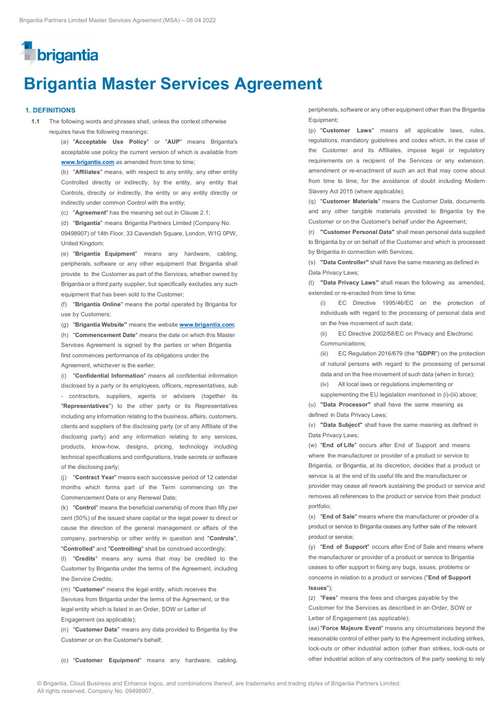# **T**brigantia

## **Brigantia Master Services Agreement**

#### **1. DEFINITIONS**

**1.1** The following words and phrases shall, unless the context otherwise requires have the following meanings:

> (a) "**Acceptable Use Policy**" or "**AUP**" means Brigantia's acceptable use policy the current version of which is available from **www.brigantia.com** as amended from time to time;

> (b) "**Affiliates**" means, with respect to any entity, any other entity Controlled directly or indirectly, by the entity, any entity that Controls, directly or indirectly, the entity or any entity directly or indirectly under common Control with the entity;

(c) "**Agreement**" has the meaning set out in Clause 2.1;

(d) "**Brigantia**" means Brigantia Partners Limited (Company No. 09498907) of 14th Floor, 33 Cavendish Square, London, W1G 0PW, United Kingdom;

(e) "**Brigantia Equipment**" means any hardware, cabling, peripherals, software or any other equipment that Brigantia shall provide to the Customer as part of the Services, whether owned by Brigantia or a third party supplier, but specifically excludes any such equipment that has been sold to the Customer;

(f) "**Brigantia Online**" means the portal operated by Brigantia for use by Customers;

(g) "**Brigantia Website"** means the website **www.brigantia.com**;

(h) "**Commencement Date**" means the date on which this Master Services Agreement is signed by the parties or when Brigantia first commences performance of its obligations under the

Agreement, whichever is the earlier;

(i) "**Confidential Information**" means all confidential information disclosed by a party or its employees, officers, representatives, sub contractors, suppliers, agents or advisers (together its "**Representatives**") to the other party or its Representatives including any information relating to the business, affairs, customers, clients and suppliers of the disclosing party (or of any Affiliate of the disclosing party) and any information relating to any services, products, know-how, designs, pricing, technology including technical specifications and configurations, trade secrets or software of the disclosing party;

(j) "**Contract Year**" means each successive period of 12 calendar months which forms part of the Term commencing on the Commencement Date or any Renewal Date;

(k) "**Control**" means the beneficial ownership of more than fifty per cent (50%) of the issued share capital or the legal power to direct or cause the direction of the general management or affairs of the company, partnership or other entity in question and "**Controls**", "**Controlled**" and "**Controlling**" shall be construed accordingly;

(l) "**Credits**" means any sums that may be credited to the Customer by Brigantia under the terms of the Agreement, including the Service Credits;

(m) "**Customer**" means the legal entity, which receives the Services from Brigantia under the terms of the Agreement, or the legal entity which is listed in an Order, SOW or Letter of Engagement (as applicable);

(n) "**Customer Data**" means any data provided to Brigantia by the Customer or on the Customer's behalf;

peripherals, software or any other equipment other than the Brigantia Equipment;

(p) "**Customer Laws**" means all applicable laws, rules, regulations, mandatory guidelines and codes which, in the case of the Customer and its Affiliates, impose legal or regulatory requirements on a recipient of the Services or any extension, amendment or re-enactment of such an act that may come about from time to time; for the avoidance of doubt including Modern Slavery Act 2015 (where applicable);

(q) "**Customer Materials**" means the Customer Data, documents and any other tangible materials provided to Brigantia by the Customer or on the Customer's behalf under the Agreement;

(r) **"Customer Personal Data"** shall mean personal data supplied to Brigantia by or on behalf of the Customer and which is processed by Brigantia in connection with Services;

(s) **"Data Controller"** shall have the same meaning as defined in Data Privacy Laws;

(t) **"Data Privacy Laws"** shall mean the following as amended, extended or re-enacted from time to time:

(i) EC Directive 1995/46/EC on the protection of individuals with regard to the processing of personal data and on the free movement of such data;

(ii) EC Directive 2002/58/EC on Privacy and Electronic Communications;

(iii) EC Regulation 2016/679 (the "**GDPR**") on the protection of natural persons with regard to the processing of personal data and on the free movement of such data (when in force); (iv) All local laws or regulations implementing or

supplementing the EU legislation mentioned in (i)-(iii) above:

(u) **"Data Processor"** shall have the same meaning as defined in Data Privacy Laws;

(v) **"Data Subject"** shall have the same meaning as defined in Data Privacy Laws;

(w) "**End of Life**" occurs after End of Support and means where the manufacturer or provider of a product or service to Brigantia, or Brigantia, at its discretion, decides that a product or service is at the end of its useful life and the manufacturer or provider may cease all rework sustaining the product or service and removes all references to the product or service from their product portfolio;

(x) "**End of Sale**" means where the manufacturer or provider of a product or service to Brigantia ceases any further sale of the relevant product or service;

(y) "**End of Support**" occurs after End of Sale and means where the manufacturer or provider of a product or service to Brigantia ceases to offer support in fixing any bugs, issues, problems or concerns in relation to a product or services ("**End of Support Issues**");

(z) "**Fees**" means the fees and charges payable by the Customer for the Services as described in an Order, SOW or Letter of Engagement (as applicable);

(aa) "**Force Majeure Event**" means any circumstances beyond the reasonable control of either party to the Agreement including strikes, lock-outs or other industrial action (other than strikes, lock-outs or other industrial action of any contractors of the party seeking to rely

(o) "**Customer Equipment**" means any hardware, cabling,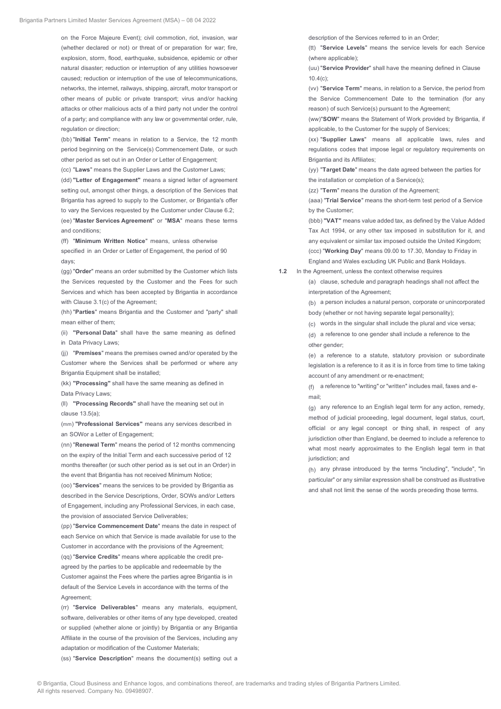on the Force Majeure Event); civil commotion, riot, invasion, war (whether declared or not) or threat of or preparation for war; fire, explosion, storm, flood, earthquake, subsidence, epidemic or other natural disaster; reduction or interruption of any utilities howsoever caused; reduction or interruption of the use of telecommunications, networks, the internet, railways, shipping, aircraft, motor transport or other means of public or private transport; virus and/or hacking attacks or other malicious acts of a third party not under the control of a party; and compliance with any law or governmental order, rule, regulation or direction;

(bb) "**Initial Term**" means in relation to a Service, the 12 month period beginning on the Service(s) Commencement Date, or such other period as set out in an Order or Letter of Engagement;

(cc) "**Laws**" means the Supplier Laws and the Customer Laws;

(dd) **"Letter of Engagement"** means a signed letter of agreement setting out, amongst other things, a description of the Services that Brigantia has agreed to supply to the Customer, or Brigantia's offer to vary the Services requested by the Customer under Clause 6.2; (ee) "**Master Services Agreement**" or "**MSA**" means these terms and conditions;

(ff) "**Minimum Written Notice**" means, unless otherwise specified in an Order or Letter of Engagement, the period of 90 days;

(gg) "**Order**" means an order submitted by the Customer which lists the Services requested by the Customer and the Fees for such Services and which has been accepted by Brigantia in accordance with Clause 3.1(c) of the Agreement;

(hh) "**Parties**" means Brigantia and the Customer and "party" shall mean either of them;

(ii) **"Personal Data**" shall have the same meaning as defined in Data Privacy Laws;

(jj) "**Premises**" means the premises owned and/or operated by the Customer where the Services shall be performed or where any Brigantia Equipment shall be installed;

(kk) **"Processing"** shall have the same meaning as defined in Data Privacy Laws;

(ll) **"Processing Records"** shall have the meaning set out in clause 13.5(a);

(mm) **"Professional Services"** means any services described in an SOWor a Letter of Engagement;

(nn) "**Renewal Term**" means the period of 12 months commencing on the expiry of the Initial Term and each successive period of 12 months thereafter (or such other period as is set out in an Order) in the event that Brigantia has not received Minimum Notice;

(oo) "**Services**" means the services to be provided by Brigantia as described in the Service Descriptions, Order, SOWs and/or Letters of Engagement, including any Professional Services, in each case, the provision of associated Service Deliverables;

(pp) "**Service Commencement Date**" means the date in respect of each Service on which that Service is made available for use to the Customer in accordance with the provisions of the Agreement; (qq) "**Service Credits**" means where applicable the credit preagreed by the parties to be applicable and redeemable by the Customer against the Fees where the parties agree Brigantia is in default of the Service Levels in accordance with the terms of the Agreement;

(rr) "**Service Deliverables**" means any materials, equipment, software, deliverables or other items of any type developed, created or supplied (whether alone or jointly) by Brigantia or any Brigantia Affiliate in the course of the provision of the Services, including any adaptation or modification of the Customer Materials;

(ss) "**Service Description**" means the document(s) setting out a

description of the Services referred to in an Order;

(tt) "**Service Levels**" means the service levels for each Service (where applicable);

(uu) "**Service Provider**" shall have the meaning defined in Clause  $10.4(c)$ 

(vv) "**Service Term**" means, in relation to a Service, the period from the Service Commencement Date to the termination (for any reason) of such Service(s) pursuant to the Agreement;

(ww)"**SOW**" means the Statement of Work provided by Brigantia, if applicable, to the Customer for the supply of Services;

(xx) "**Supplier Laws**" means all applicable laws, rules and regulations codes that impose legal or regulatory requirements on Brigantia and its Affiliates;

(yy) "**Target Date**" means the date agreed between the parties for the installation or completion of a Service(s);

(zz) "**Term**" means the duration of the Agreement;

(aaa) "**Trial Service**" means the short-term test period of a Service by the Customer;

(bbb) **"VAT"** means value added tax, as defined by the Value Added Tax Act 1994, or any other tax imposed in substitution for it, and any equivalent or similar tax imposed outside the United Kingdom; (ccc) "**Working Day**" means 09.00 to 17.30, Monday to Friday in England and Wales excluding UK Public and Bank Holidays.

**1.2** In the Agreement, unless the context otherwise requires

(a) clause, schedule and paragraph headings shall not affect the interpretation of the Agreement;

(b) a person includes a natural person, corporate or unincorporated body (whether or not having separate legal personality);

(c) words in the singular shall include the plural and vice versa;

(d) a reference to one gender shall include a reference to the other gender;

(e) a reference to a statute, statutory provision or subordinate legislation is a reference to it as it is in force from time to time taking account of any amendment or re-enactment;

(f) a reference to "writing" or "written" includes mail, faxes and email;

 $(q)$  any reference to an English legal term for any action, remedy, method of judicial proceeding, legal document, legal status, court, official or any legal concept or thing shall, in respect of any jurisdiction other than England, be deemed to include a reference to what most nearly approximates to the English legal term in that jurisdiction; and

(h) any phrase introduced by the terms "including", "include", "in particular" or any similar expression shall be construed as illustrative and shall not limit the sense of the words preceding those terms.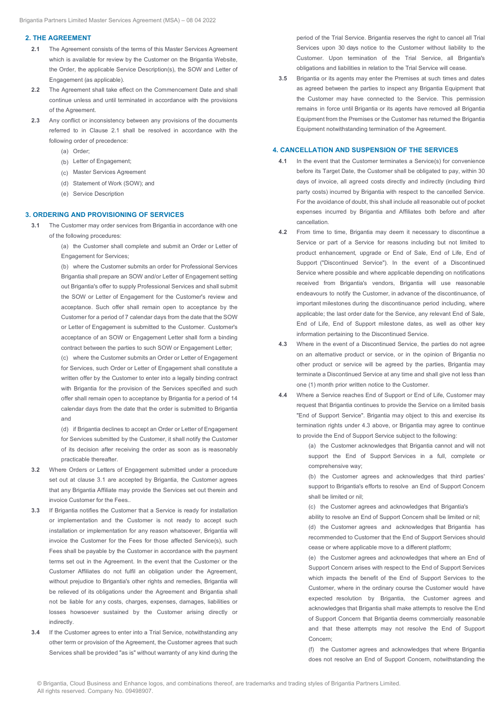#### **2. THE AGREEMENT**

- **2.1** The Agreement consists of the terms of this Master Services Agreement which is available for review by the Customer on the Brigantia Website, the Order, the applicable Service Description(s), the SOW and Letter of Engagement (as applicable).
- **2.2** The Agreement shall take effect on the Commencement Date and shall continue unless and until terminated in accordance with the provisions of the Agreement.
- **2.3** Any conflict or inconsistency between any provisions of the documents referred to in Clause 2.1 shall be resolved in accordance with the following order of precedence:
	- (a) Order;
	- (b) Letter of Engagement;
	- (c) Master Services Agreement
	- (d) Statement of Work (SOW); and
	- (e) Service Description

#### **3. ORDERING AND PROVISIONING OF SERVICES**

**3.1** The Customer may order services from Brigantia in accordance with one of the following procedures:

> (a) the Customer shall complete and submit an Order or Letter of Engagement for Services;

> (b) where the Customer submits an order for Professional Services Brigantia shall prepare an SOW and/or Letter of Engagement setting out Brigantia's offer to supply Professional Services and shall submit the SOW or Letter of Engagement for the Customer's review and acceptance. Such offer shall remain open to acceptance by the Customer for a period of 7 calendar days from the date that the SOW or Letter of Engagement is submitted to the Customer. Customer's acceptance of an SOW or Engagement Letter shall form a binding contract between the parties to such SOW or Engagement Letter;

> (c) where the Customer submits an Order or Letter of Engagement for Services, such Order or Letter of Engagement shall constitute a written offer by the Customer to enter into a legally binding contract with Brigantia for the provision of the Services specified and such offer shall remain open to acceptance by Brigantia for a period of 14 calendar days from the date that the order is submitted to Brigantia and

> (d) if Brigantia declines to accept an Order or Letter of Engagement for Services submitted by the Customer, it shall notify the Customer of its decision after receiving the order as soon as is reasonably practicable thereafter.

- **3.2** Where Orders or Letters of Engagement submitted under a procedure set out at clause 3.1 are accepted by Brigantia, the Customer agrees that any Brigantia Affiliate may provide the Services set out therein and invoice Customer for the Fees..
- **3.3** If Brigantia notifies the Customer that a Service is ready for installation or implementation and the Customer is not ready to accept such installation or implementation for any reason whatsoever, Brigantia will invoice the Customer for the Fees for those affected Service(s), such Fees shall be payable by the Customer in accordance with the payment terms set out in the Agreement. In the event that the Customer or the Customer Affiliates do not fulfil an obligation under the Agreement, without prejudice to Brigantia's other rights and remedies, Brigantia will be relieved of its obligations under the Agreement and Brigantia shall not be liable for any costs, charges, expenses, damages, liabilities or losses howsoever sustained by the Customer arising directly or indirectly.
- **3.4** If the Customer agrees to enter into a Trial Service, notwithstanding any other term or provision of the Agreement, the Customer agrees that such Services shall be provided "as is" without warranty of any kind during the

period of the Trial Service. Brigantia reserves the right to cancel all Trial Services upon 30 days notice to the Customer without liability to the Customer. Upon termination of the Trial Service, all Brigantia's obligations and liabilities in relation to the Trial Service will cease.

**3.5** Brigantia or its agents may enter the Premises at such times and dates as agreed between the parties to inspect any Brigantia Equipment that the Customer may have connected to the Service. This permission remains in force until Brigantia or its agents have removed all Brigantia Equipment from the Premises or the Customer has returned the Brigantia Equipment notwithstanding termination of the Agreement.

#### **4. CANCELLATION AND SUSPENSION OF THE SERVICES**

- **4.1** In the event that the Customer terminates a Service(s) for convenience before its Target Date, the Customer shall be obligated to pay, within 30 days of invoice, all agreed costs directly and indirectly (including third party costs) incurred by Brigantia with respect to the cancelled Service. For the avoidance of doubt, this shall include all reasonable out of pocket expenses incurred by Brigantia and Affiliates both before and after cancellation.
- **4.2** From time to time, Brigantia may deem it necessary to discontinue a Service or part of a Service for reasons including but not limited to product enhancement, upgrade or End of Sale, End of Life, End of Support ("Discontinued Service"). In the event of a Discontinued Service where possible and where applicable depending on notifications received from Brigantia's vendors, Brigantia will use reasonable endeavours to notify the Customer, in advance of the discontinuance, of important milestones during the discontinuance period including, where applicable; the last order date for the Service, any relevant End of Sale, End of Life, End of Support milestone dates, as well as other key information pertaining to the Discontinued Service.
- **4.3** Where in the event of a Discontinued Service, the parties do not agree on an alternative product or service, or in the opinion of Brigantia no other product or service will be agreed by the parties, Brigantia may terminate a Discontinued Service at any time and shall give not less than one (1) month prior written notice to the Customer.
- **4.4** Where a Service reaches End of Support or End of Life, Customer may request that Brigantia continues to provide the Service on a limited basis "End of Support Service". Brigantia may object to this and exercise its termination rights under 4.3 above, or Brigantia may agree to continue to provide the End of Support Service subject to the following:

(a) the Customer acknowledges that Brigantia cannot and will not support the End of Support Services in a full, complete or comprehensive way;

(b) the Customer agrees and acknowledges that third parties' support to Brigantia's efforts to resolve an End of Support Concern shall be limited or nil;

(c) the Customer agrees and acknowledges that Brigantia's

ability to resolve an End of Support Concern shall be limited or nil;

(d) the Customer agrees and acknowledges that Brigantia has recommended to Customer that the End of Support Services should cease or where applicable move to a different platform;

(e) the Customer agrees and acknowledges that where an End of Support Concern arises with respect to the End of Support Services which impacts the benefit of the End of Support Services to the Customer, where in the ordinary course the Customer would have expected resolution by Brigantia, the Customer agrees and acknowledges that Brigantia shall make attempts to resolve the End of Support Concern that Brigantia deems commercially reasonable and that these attempts may not resolve the End of Support Concern;

(f) the Customer agrees and acknowledges that where Brigantia does not resolve an End of Support Concern, notwithstanding the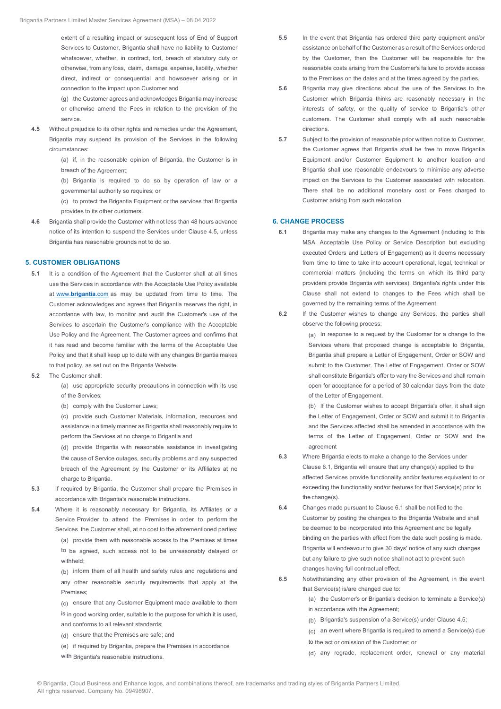extent of a resulting impact or subsequent loss of End of Support Services to Customer, Brigantia shall have no liability to Customer whatsoever, whether, in contract, tort, breach of statutory duty or otherwise, from any loss, claim, damage, expense, liability, whether direct, indirect or consequential and howsoever arising or in connection to the impact upon Customer and

(g) the Customer agrees and acknowledges Brigantia may increase or otherwise amend the Fees in relation to the provision of the service.

**4.5** Without prejudice to its other rights and remedies under the Agreement, Brigantia may suspend its provision of the Services in the following circumstances:

> (a) if, in the reasonable opinion of Brigantia, the Customer is in breach of the Agreement;

> (b) Brigantia is required to do so by operation of law or a governmental authority so requires; or

> (c) to protect the Brigantia Equipment or the services that Brigantia provides to its other customers.

**4.6** Brigantia shall provide the Customer with not less than 48 hours advance notice of its intention to suspend the Services under Clause 4.5, unless Brigantia has reasonable grounds not to do so.

#### **5. CUSTOMER OBLIGATIONS**

- **5.1** It is a condition of the Agreement that the Customer shall at all times use the Services in accordance with the Acceptable Use Policy available at www.**brigantia**.com as may be updated from time to time. The Customer acknowledges and agrees that Brigantia reserves the right, in accordance with law, to monitor and audit the Customer's use of the Services to ascertain the Customer's compliance with the Acceptable Use Policy and the Agreement. The Customer agrees and confirms that it has read and become familiar with the terms of the Acceptable Use Policy and that it shall keep up to date with any changes Brigantia makes to that policy, as set out on the Brigantia Website.
- **5.2** The Customer shall:

(a) use appropriate security precautions in connection with its use of the Services;

(b) comply with the Customer Laws;

(c) provide such Customer Materials, information, resources and assistance in a timely manner as Brigantia shall reasonably require to perform the Services at no charge to Brigantia and

(d) provide Brigantia with reasonable assistance in investigating the cause of Service outages, security problems and any suspected breach of the Agreement by the Customer or its Affiliates at no charge to Brigantia.

- **5.3** If required by Brigantia, the Customer shall prepare the Premises in accordance with Brigantia's reasonable instructions.
- **5.4** Where it is reasonably necessary for Brigantia, its Affiliates or a Service Provider to attend the Premises in order to perform the Services the Customer shall, at no cost to the aforementioned parties: (a) provide them with reasonable access to the Premises at times to be agreed, such access not to be unreasonably delayed or withheld;

(b) inform them of all health and safety rules and regulations and any other reasonable security requirements that apply at the Premises;

- (c) ensure that any Customer Equipment made available to them
- is in good working order, suitable to the purpose for which it is used, and conforms to all relevant standards;
- (d) ensure that the Premises are safe; and
- (e) if required by Brigantia, prepare the Premises in accordance
- with Brigantia's reasonable instructions.
- **5.5** In the event that Brigantia has ordered third party equipment and/or assistance on behalf of the Customer as a result of the Services ordered by the Customer, then the Customer will be responsible for the reasonable costs arising from the Customer's failure to provide access to the Premises on the dates and at the times agreed by the parties.
- **5.6** Brigantia may give directions about the use of the Services to the Customer which Brigantia thinks are reasonably necessary in the interests of safety, or the quality of service to Brigantia's other customers. The Customer shall comply with all such reasonable directions.
- **5.7** Subject to the provision of reasonable prior written notice to Customer, the Customer agrees that Brigantia shall be free to move Brigantia Equipment and/or Customer Equipment to another location and Brigantia shall use reasonable endeavours to minimise any adverse impact on the Services to the Customer associated with relocation. There shall be no additional monetary cost or Fees charged to Customer arising from such relocation.

#### **6. CHANGE PROCESS**

- **6.1** Brigantia may make any changes to the Agreement (including to this MSA, Acceptable Use Policy or Service Description but excluding executed Orders and Letters of Engagement) as it deems necessary from time to time to take into account operational, legal, technical or commercial matters (including the terms on which its third party providers provide Brigantia with services). Brigantia's rights under this Clause shall not extend to changes to the Fees which shall be governed by the remaining terms of the Agreement.
- **6.2** If the Customer wishes to change any Services, the parties shall observe the following process:

(a) In response to a request by the Customer for a change to the Services where that proposed change is acceptable to Brigantia, Brigantia shall prepare a Letter of Engagement, Order or SOW and submit to the Customer. The Letter of Engagement, Order or SOW shall constitute Brigantia's offer to vary the Services and shall remain open for acceptance for a period of 30 calendar days from the date of the Letter of Engagement.

(b) If the Customer wishes to accept Brigantia's offer, it shall sign the Letter of Engagement, Order or SOW and submit it to Brigantia and the Services affected shall be amended in accordance with the terms of the Letter of Engagement, Order or SOW and the agreement

- **6.3** Where Brigantia elects to make a change to the Services under Clause 6.1, Brigantia will ensure that any change(s) applied to the affected Services provide functionality and/or features equivalent to or exceeding the functionality and/or features for that Service(s) prior to the change(s).
- **6.4** Changes made pursuant to Clause 6.1 shall be notified to the Customer by posting the changes to the Brigantia Website and shall be deemed to be incorporated into this Agreement and be legally binding on the parties with effect from the date such posting is made. Brigantia will endeavour to give 30 days' notice of any such changes but any failure to give such notice shall not act to prevent such changes having full contractual effect.
- **6.5** Notwithstanding any other provision of the Agreement, in the event that Service(s) is/are changed due to:
	- (a) the Customer's or Brigantia's decision to terminate a Service(s) in accordance with the Agreement;
	- (b) Brigantia's suspension of a Service(s) under Clause 4.5;
	- (c) an event where Brigantia is required to amend a Service(s) due
	- to the act or omission of the Customer; or
	- (d) any regrade, replacement order, renewal or any material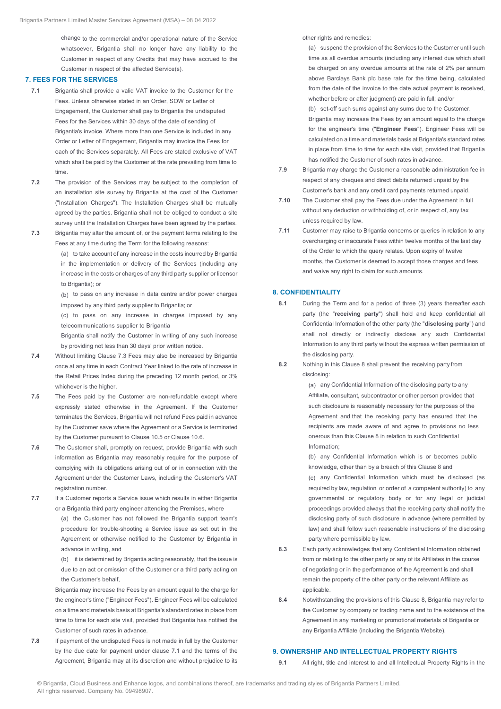change to the commercial and/or operational nature of the Service whatsoever, Brigantia shall no longer have any liability to the Customer in respect of any Credits that may have accrued to the Customer in respect of the affected Service(s).

#### **7. FEES FOR THE SERVICES**

- **7.1** Brigantia shall provide a valid VAT invoice to the Customer for the Fees. Unless otherwise stated in an Order, SOW or Letter of Engagement, the Customer shall pay to Brigantia the undisputed Fees for the Services within 30 days of the date of sending of Brigantia's invoice. Where more than one Service is included in any Order or Letter of Engagement, Brigantia may invoice the Fees for each of the Services separately. All Fees are stated exclusive of VAT which shall be paid by the Customer at the rate prevailing from time to time.
- **7.2** The provision of the Services may be subject to the completion of an installation site survey by Brigantia at the cost of the Customer ("Installation Charges"). The Installation Charges shall be mutually agreed by the parties. Brigantia shall not be obliged to conduct a site survey until the Installation Charges have been agreed by the parties.
- **7.3** Brigantia may alter the amount of, or the payment terms relating to the Fees at any time during the Term for the following reasons:

(a) to take account of any increase in the costs incurred by Brigantia in the implementation or delivery of the Services (including any increase in the costs or charges of any third party supplier or licensor to Brigantia): or

(b) to pass on any increase in data centre and/or power charges imposed by any third party supplier to Brigantia; or

(c) to pass on any increase in charges imposed by any telecommunications supplier to Brigantia

Brigantia shall notify the Customer in writing of any such increase by providing not less than 30 days' prior written notice.

- **7.4** Without limiting Clause 7.3 Fees may also be increased by Brigantia once at any time in each Contract Year linked to the rate of increase in the Retail Prices Index during the preceding 12 month period, or 3% whichever is the higher.
- **7.5** The Fees paid by the Customer are non-refundable except where expressly stated otherwise in the Agreement. If the Customer terminates the Services, Brigantia will not refund Fees paid in advance by the Customer save where the Agreement or a Service is terminated by the Customer pursuant to Clause 10.5 or Clause 10.6.
- **7.6** The Customer shall, promptly on request, provide Brigantia with such information as Brigantia may reasonably require for the purpose of complying with its obligations arising out of or in connection with the Agreement under the Customer Laws, including the Customer's VAT registration number.
- **7.7** If a Customer reports a Service issue which results in either Brigantia or a Brigantia third party engineer attending the Premises, where

(a) the Customer has not followed the Brigantia support team's procedure for trouble-shooting a Service issue as set out in the Agreement or otherwise notified to the Customer by Brigantia in advance in writing, and

(b) it is determined by Brigantia acting reasonably, that the issue is due to an act or omission of the Customer or a third party acting on the Customer's behalf,

Brigantia may increase the Fees by an amount equal to the charge for the engineer's time ("Engineer Fees"). Engineer Fees will be calculated on a time and materials basis at Brigantia's standard rates in place from time to time for each site visit, provided that Brigantia has notified the Customer of such rates in advance.

**7.8** If payment of the undisputed Fees is not made in full by the Customer by the due date for payment under clause 7.1 and the terms of the Agreement, Brigantia may at its discretion and without prejudice to its

other rights and remedies:

(a) suspend the provision of the Services to the Customer until such time as all overdue amounts (including any interest due which shall be charged on any overdue amounts at the rate of 2% per annum above Barclays Bank plc base rate for the time being, calculated from the date of the invoice to the date actual payment is received, whether before or after judgment) are paid in full; and/or

(b) set-off such sums against any sums due to the Customer. Brigantia may increase the Fees by an amount equal to the charge for the engineer's time ("**Engineer Fees**"). Engineer Fees will be calculated on a time and materials basis at Brigantia's standard rates in place from time to time for each site visit, provided that Brigantia has notified the Customer of such rates in advance.

- **7.9** Brigantia may charge the Customer a reasonable administration fee in respect of any cheques and direct debits returned unpaid by the Customer's bank and any credit card payments returned unpaid.
- **7.10** The Customer shall pay the Fees due under the Agreement in full without any deduction or withholding of, or in respect of, any tax unless required by law.
- **7.11** Customer may raise to Brigantia concerns or queries in relation to any overcharging or inaccurate Fees within twelve months of the last day of the Order to which the query relates. Upon expiry of twelve months, the Customer is deemed to accept those charges and fees and waive any right to claim for such amounts.

### **8. CONFIDENTIALITY**

- **8.1** During the Term and for a period of three (3) years thereafter each party (the "**receiving party**") shall hold and keep confidential all Confidential Information of the other party (the "**disclosing party**") and shall not directly or indirectly disclose any such Confidential Information to any third party without the express written permission of the disclosing party.
- **8.2** Nothing in this Clause 8 shall prevent the receiving party from disclosing:

(a) any Confidential Information of the disclosing party to any Affiliate, consultant, subcontractor or other person provided that such disclosure is reasonably necessary for the purposes of the Agreement and that the receiving party has ensured that the recipients are made aware of and agree to provisions no less onerous than this Clause 8 in relation to such Confidential Information;

(b) any Confidential Information which is or becomes public knowledge, other than by a breach of this Clause 8 and

(c) any Confidential Information which must be disclosed (as required by law, regulation or order of a competent authority) to any governmental or regulatory body or for any legal or judicial proceedings provided always that the receiving party shall notify the disclosing party of such disclosure in advance (where permitted by law) and shall follow such reasonable instructions of the disclosing party where permissible by law.

- **8.3** Each party acknowledges that any Confidential Information obtained from or relating to the other party or any of its Affiliates in the course of negotiating or in the performance of the Agreement is and shall remain the property of the other party or the relevant Affiliate as applicable.
- **8.4** Notwithstanding the provisions of this Clause 8, Brigantia may refer to the Customer by company or trading name and to the existence of the Agreement in any marketing or promotional materials of Brigantia or any Brigantia Affiliate (including the Brigantia Website).

#### **9. OWNERSHIP AND INTELLECTUAL PROPERTY RIGHTS**

**9.1** All right, title and interest to and all Intellectual Property Rights in the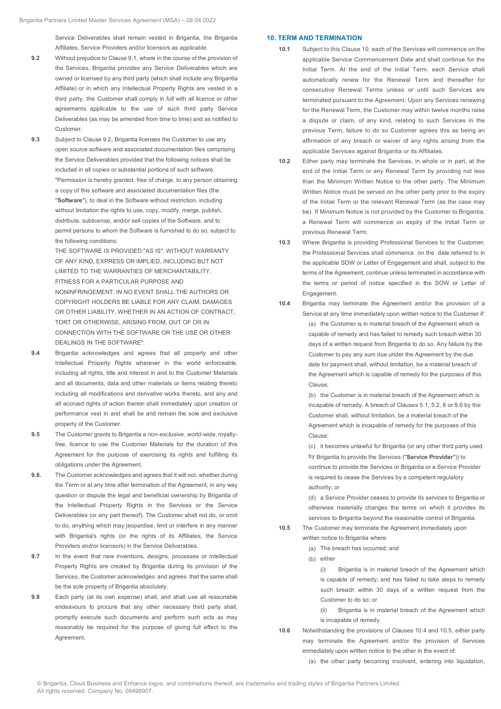Service Deliverables shall remain vested in Brigantia, the Brigantia Affiliates, Service Providers and/or licensors as applicable.

- **9.2** Without prejudice to Clause 9.1, where in the course of the provision of the Services, Brigantia provides any Service Deliverables which are owned or licensed by any third party (which shall include any Brigantia Affiliate) or in which any Intellectual Property Rights are vested in a third party, the Customer shall comply in full with all licence or other agreements applicable to the use of such third party Service Deliverables (as may be amended from time to time) and as notified to **Customer**
- **9.3** Subject to Clause 9.2, Brigantia licenses the Customer to use any open source software and associated documentation files comprising the Service Deliverables provided that the following notices shall be included in all copies or substantial portions of such software. "Permission is hereby granted, free of charge, to any person obtaining a copy of this software and associated documentation files (the "**Software**"), to deal in the Software without restriction, including without limitation the rights to use, copy, modify, merge, publish, distribute, sublicense, and/or sell copies of the Software, and to permit persons to whom the Software is furnished to do so, subject to the following conditions:

THE SOFTWARE IS PROVIDED "AS IS", WITHOUT WARRANTY OF ANY KIND, EXPRESS OR IMPLIED, INCLUDING BUT NOT LIMITED TO THE WARRANTIES OF MERCHANTABILITY, FITNESS FOR A PARTICULAR PURPOSE AND NONINFRINGEMENT. IN NO EVENT SHALL THE AUTHORS OR COPYRIGHT HOLDERS BE LIABLE FOR ANY CLAIM, DAMAGES

OR OTHER LIABILITY, WHETHER IN AN ACTION OF CONTRACT TORT OR OTHERWISE, ARISING FROM, OUT OF OR IN CONNECTION WITH THE SOFTWARE OR THE USE OR OTHER DEALINGS IN THE SOFTWARE".

- **9.4** Brigantia acknowledges and agrees that all property and other Intellectual Property Rights wherever in the world enforceable, including all rights, title and interest in and to the Customer Materials and all documents, data and other materials or items relating thereto including all modifications and derivative works thereto, and any and all accrued rights of action therein shall immediately upon creation or performance vest in and shall be and remain the sole and exclusive property of the Customer.
- **9.5** The Customer grants to Brigantia a non-exclusive, world-wide, royaltyfree, licence to use the Customer Materials for the duration of this Agreement for the purpose of exercising its rights and fulfilling its obligations under the Agreement.
- **9.6.** The Customer acknowledges and agrees that it will not, whether during the Term or at any time after termination of the Agreement, in any way question or dispute the legal and beneficial ownership by Brigantia of the Intellectual Property Rights in the Services or the Service Deliverables (or any part thereof). The Customer shall not do, or omit to do, anything which may jeopardise, limit or interfere in any manner with Brigantia's rights (or the rights of its Affiliates, the Service Providers and/or licensors) in the Service Deliverables.
- **9.7** In the event that new inventions, designs, processes or Intellectual Property Rights are created by Brigantia during its provision of the Services, the Customer acknowledges and agrees that the same shall be the sole property of Brigantia absolutely.
- **9.8** Each party (at its own expense) shall, and shall use all reasonable endeavours to procure that any other necessary third party shall, promptly execute such documents and perform such acts as may reasonably be required for the purpose of giving full effect to the Agreement.

#### **10. TERM AND TERMINATION**

- **10.1** Subject to this Clause 10, each of the Services will commence on the applicable Service Commencement Date and shall continue for the Initial Term. At the end of the Initial Term, each Service shall automatically renew for the Renewal Term and thereafter for consecutive Renewal Terms unless or until such Services are terminated pursuant to the Agreement. Upon any Services renewing for the Renewal Term, the Customer may within twelve months raise a dispute or claim, of any kind, relating to such Services in the previous Term, failure to do so Customer agrees this as being an affirmation of any breach or waiver of any rights arising from the applicable Services against Brigantia or its Affiliates.
- **10.2** Either party may terminate the Services, in whole or in part, at the end of the Initial Term or any Renewal Term by providing not less than the Minimum Written Notice to the other party. The Minimum Written Notice must be served on the other party prior to the expiry of the Initial Term or the relevant Renewal Term (as the case may be). If Minimum Notice is not provided by the Customer to Brigantia, a Renewal Term will commence on expiry of the Initial Term or previous Renewal Term.
- **10.3** Where Brigantia is providing Professional Services to the Customer, the Professional Services shall commence on the date referred to in the applicable SOW or Letter of Engagement and shall, subject to the terms of the Agreement, continue unless terminated in accordance with the terms or period of notice specified in the SOW or Letter of Engagement.
- **10.4** Brigantia may terminate the Agreement and/or the provision of a Service at any time immediately upon written notice to the Customer if: (a) the Customer is in material breach of the Agreement which is capable of remedy and has failed to remedy such breach within 30 days of a written request from Brigantia to do so. Any failure by the Customer to pay any sum due under the Agreement by the due date for payment shall, without limitation, be a material breach of the Agreement which is capable of remedy for the purposes of this Clause;

(b) the Customer is in material breach of the Agreement which is incapable of remedy. A breach of Clauses 5.1, 5.2, 8 or 9.6 by the Customer shall, without limitation, be a material breach of the Agreement which is incapable of remedy for the purposes of this Clause;

(c) it becomes unlawful for Brigantia (or any other third party used by Brigantia to provide the Services ("**Service Provider**")) to continue to provide the Services or Brigantia or a Service Provider is required to cease the Services by a competent regulatory authority; or

(d) a Service Provider ceases to provide its services to Brigantia or otherwise materially changes the terms on which it provides its services to Brigantia beyond the reasonable control of Brigantia.

**10.5** The Customer may terminate the Agreement immediately upon written notice to Brigantia where:

- (a) The breach has occurred; and
- (b) either

(i) Brigantia is in material breach of the Agreement which is capable of remedy, and has failed to take steps to remedy such breach within 30 days of a written request from the Customer to do so; or

(ii) Brigantia is in material breach of the Agreement which is incapable of remedy.

**10.6** Notwithstanding the provisions of Clauses 10.4 and 10.5, either party may terminate the Agreement and/or the provision of Services immediately upon written notice to the other in the event of:

(a) the other party becoming insolvent, entering into liquidation,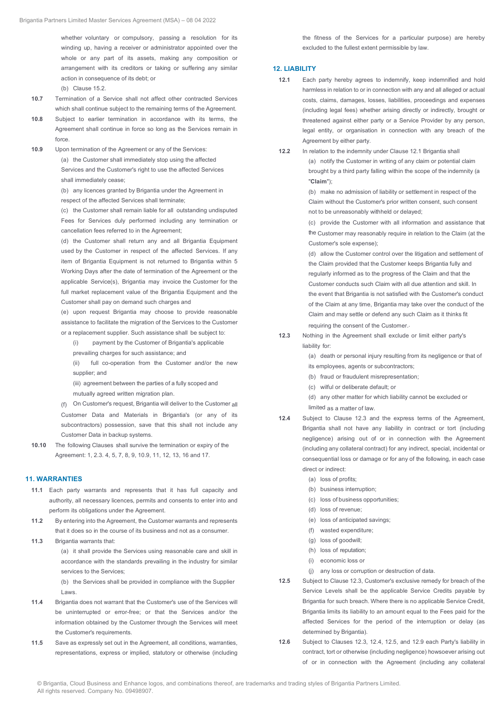whether voluntary or compulsory, passing a resolution for its winding up, having a receiver or administrator appointed over the whole or any part of its assets, making any composition or arrangement with its creditors or taking or suffering any similar action in consequence of its debt; or

(b) Clause 15.2.

- **10.7** Termination of a Service shall not affect other contracted Services which shall continue subject to the remaining terms of the Agreement.
- **10.8** Subject to earlier termination in accordance with its terms, the Agreement shall continue in force so long as the Services remain in force.
- **10.9** Upon termination of the Agreement or any of the Services: (a) the Customer shall immediately stop using the affected Services and the Customer's right to use the affected Services shall immediately cease;

(b) any licences granted by Brigantia under the Agreement in respect of the affected Services shall terminate;

(c) the Customer shall remain liable for all outstanding undisputed Fees for Services duly performed including any termination or cancellation fees referred to in the Agreement;

(d) the Customer shall return any and all Brigantia Equipment used by the Customer in respect of the affected Services. If any item of Brigantia Equipment is not returned to Brigantia within 5 Working Days after the date of termination of the Agreement or the applicable Service(s), Brigantia may invoice the Customer for the full market replacement value of the Brigantia Equipment and the Customer shall pay on demand such charges and

(e) upon request Brigantia may choose to provide reasonable assistance to facilitate the migration of the Services to the Customer or a replacement supplier. Such assistance shall be subject to:

(i) payment by the Customer of Brigantia's applicable

prevailing charges for such assistance; and

(ii) full co-operation from the Customer and/or the new supplier; and

(iii) agreement between the parties of a fully scoped and mutually agreed written migration plan.

(f) On Customer's request, Brigantia will deliver to the Customer all Customer Data and Materials in Brigantia's (or any of its subcontractors) possession, save that this shall not include any Customer Data in backup systems.

**10.10** The following Clauses shall survive the termination or expiry of the Agreement: 1, 2.3. 4, 5, 7, 8, 9, 10.9, 11, 12, 13, 16 and 17.

#### **11. WARRANTIES**

- **11.1** Each party warrants and represents that it has full capacity and authority, all necessary licences, permits and consents to enter into and perform its obligations under the Agreement.
- **11.2** By entering into the Agreement, the Customer warrants and represents that it does so in the course of its business and not as a consumer.
- **11.3** Brigantia warrants that:

(a) it shall provide the Services using reasonable care and skill in accordance with the standards prevailing in the industry for similar services to the Services;

(b) the Services shall be provided in compliance with the Supplier Laws.

- **11.4** Brigantia does not warrant that the Customer's use of the Services will be uninterrupted or error-free; or that the Services and/or the information obtained by the Customer through the Services will meet the Customer's requirements.
- **11.5** Save as expressly set out in the Agreement, all conditions, warranties, representations, express or implied, statutory or otherwise (including

the fitness of the Services for a particular purpose) are hereby excluded to the fullest extent permissible by law.

#### **12. LIABILITY**

- **12.1** Each party hereby agrees to indemnify, keep indemnified and hold harmless in relation to or in connection with any and all alleged or actual costs, claims, damages, losses, liabilities, proceedings and expenses (including legal fees) whether arising directly or indirectly, brought or threatened against either party or a Service Provider by any person, legal entity, or organisation in connection with any breach of the Agreement by either party.
- **12.2** In relation to the indemnity under Clause 12.1 Brigantia shall (a) notify the Customer in writing of any claim or potential claim brought by a third party falling within the scope of the indemnity (a "**Claim**");

(b) make no admission of liability or settlement in respect of the Claim without the Customer's prior written consent, such consent not to be unreasonably withheld or delayed;

(c) provide the Customer with all information and assistance that the Customer may reasonably require in relation to the Claim (at the Customer's sole expense);

(d) allow the Customer control over the litigation and settlement of the Claim provided that the Customer keeps Brigantia fully and regularly informed as to the progress of the Claim and that the Customer conducts such Claim with all due attention and skill. In the event that Brigantia is not satisfied with the Customer's conduct of the Claim at any time, Brigantia may take over the conduct of the Claim and may settle or defend any such Claim as it thinks fit requiring the consent of the Customer..

**12.3** Nothing in the Agreement shall exclude or limit either party's liability for:

(a) death or personal injury resulting from its negligence or that of

- its employees, agents or subcontractors;
- (b) fraud or fraudulent misrepresentation;
- (c) wilful or deliberate default; or

(d) any other matter for which liability cannot be excluded or limited as a matter of law.

- **12.4** Subject to Clause 12.3 and the express terms of the Agreement, Brigantia shall not have any liability in contract or tort (including negligence) arising out of or in connection with the Agreement (including any collateral contract) for any indirect, special, incidental or consequential loss or damage or for any of the following, in each case direct or indirect:
	- (a) loss of profits;
	- (b) business interruption;
	- (c) loss of business opportunities;
	- (d) loss of revenue;
	- (e) loss of anticipated savings;
	- (f) wasted expenditure;
	- (g) loss of goodwill;
	- (h) loss of reputation;
	- (i) economic loss or
	- (j) any loss or corruption or destruction of data.
- **12.5** Subject to Clause 12.3, Customer's exclusive remedy for breach of the Service Levels shall be the applicable Service Credits payable by Brigantia for such breach. Where there is no applicable Service Credit, Brigantia limits its liability to an amount equal to the Fees paid for the affected Services for the period of the interruption or delay (as determined by Brigantia).
- **12.6** Subject to Clauses 12.3, 12.4, 12.5, and 12.9 each Party's liability in contract, tort or otherwise (including negligence) howsoever arising out of or in connection with the Agreement (including any collateral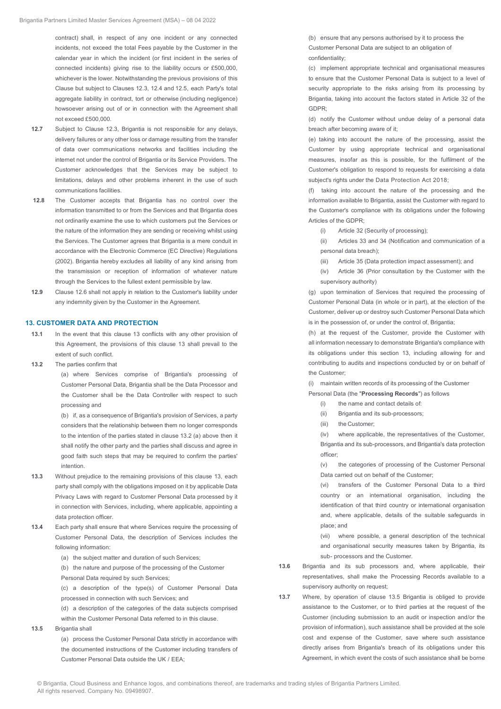contract) shall, in respect of any one incident or any connected incidents, not exceed the total Fees payable by the Customer in the calendar year in which the incident (or first incident in the series of connected incidents) giving rise to the liability occurs or £500,000, whichever is the lower. Notwithstanding the previous provisions of this Clause but subject to Clauses 12.3, 12.4 and 12.5, each Party's total aggregate liability in contract, tort or otherwise (including negligence) howsoever arising out of or in connection with the Agreement shall not exceed £500,000.

- **12.7** Subject to Clause 12.3, Brigantia is not responsible for any delays, delivery failures or any other loss or damage resulting from the transfer of data over communications networks and facilities including the internet not under the control of Brigantia or its Service Providers. The Customer acknowledges that the Services may be subject to limitations, delays and other problems inherent in the use of such communications facilities.
- **12.8** The Customer accepts that Brigantia has no control over the information transmitted to or from the Services and that Brigantia does not ordinarily examine the use to which customers put the Services or the nature of the information they are sending or receiving whilst using the Services. The Customer agrees that Brigantia is a mere conduit in accordance with the Electronic Commerce (EC Directive) Regulations (2002). Brigantia hereby excludes all liability of any kind arising from the transmission or reception of information of whatever nature through the Services to the fullest extent permissible by law.
- **12.9** Clause 12.6 shall not apply in relation to the Customer's liability under any indemnity given by the Customer in the Agreement.

#### **13. CUSTOMER DATA AND PROTECTION**

- **13.1** In the event that this clause 13 conflicts with any other provision of this Agreement, the provisions of this clause 13 shall prevail to the extent of such conflict.
- **13.2** The parties confirm that

(a) where Services comprise of Brigantia's processing of Customer Personal Data, Brigantia shall be the Data Processor and the Customer shall be the Data Controller with respect to such processing and

(b) if, as a consequence of Brigantia's provision of Services, a party considers that the relationship between them no longer corresponds to the intention of the parties stated in clause 13.2 (a) above then it shall notify the other party and the parties shall discuss and agree in good faith such steps that may be required to confirm the parties' intention.

- **13.3** Without prejudice to the remaining provisions of this clause 13, each party shall comply with the obligations imposed on it by applicable Data Privacy Laws with regard to Customer Personal Data processed by it in connection with Services, including, where applicable, appointing a data protection officer.
- **13.4** Each party shall ensure that where Services require the processing of Customer Personal Data, the description of Services includes the following information:
	- (a) the subject matter and duration of such Services;

(b) the nature and purpose of the processing of the Customer Personal Data required by such Services;

(c) a description of the type(s) of Customer Personal Data processed in connection with such Services; and

(d) a description of the categories of the data subjects comprised within the Customer Personal Data referred to in this clause.

**13.5** Brigantia shall

(a) process the Customer Personal Data strictly in accordance with the documented instructions of the Customer including transfers of Customer Personal Data outside the UK / EEA;

(b) ensure that any persons authorised by it to process the Customer Personal Data are subject to an obligation of confidentiality;

(c) implement appropriate technical and organisational measures to ensure that the Customer Personal Data is subject to a level of security appropriate to the risks arising from its processing by Brigantia, taking into account the factors stated in Article 32 of the GDPR;

(d) notify the Customer without undue delay of a personal data breach after becoming aware of it;

(e) taking into account the nature of the processing, assist the Customer by using appropriate technical and organisational measures, insofar as this is possible, for the fulfilment of the Customer's obligation to respond to requests for exercising a data subject's rights under the Data Protection Act 2018;

(f) taking into account the nature of the processing and the information available to Brigantia, assist the Customer with regard to the Customer's compliance with its obligations under the following Articles of the GDPR;

- (i) Article 32 (Security of processing);
- (ii) Articles 33 and 34 (Notification and communication of a personal data breach);
- (iii) Article 35 (Data protection impact assessment); and
- (iv) Article 36 (Prior consultation by the Customer with the supervisory authority)

(g) upon termination of Services that required the processing of Customer Personal Data (in whole or in part), at the election of the Customer, deliver up or destroy such Customer Personal Data which is in the possession of, or under the control of, Brigantia;

(h) at the request of the Customer, provide the Customer with all information necessary to demonstrate Brigantia's compliance with its obligations under this section 13, including allowing for and contributing to audits and inspections conducted by or on behalf of the Customer;

(i) maintain written records of its processing of the Customer

- Personal Data (the "**Processing Records**") as follows
	- (i) the name and contact details of:
	- (ii) Brigantia and its sub-processors;
	- (iii) the Customer;

(iv) where applicable, the representatives of the Customer, Brigantia and its sub-processors, and Brigantia's data protection officer;

(v) the categories of processing of the Customer Personal Data carried out on behalf of the Customer;

(vi) transfers of the Customer Personal Data to a third country or an international organisation, including the identification of that third country or international organisation and, where applicable, details of the suitable safeguards in place; and

(vii) where possible, a general description of the technical and organisational security measures taken by Brigantia, its sub- processors and the Customer.

- **13.6** Brigantia and its sub processors and, where applicable, their representatives, shall make the Processing Records available to a supervisory authority on request;
- **13.7** Where, by operation of clause 13.5 Brigantia is obliged to provide assistance to the Customer, or to third parties at the request of the Customer (including submission to an audit or inspection and/or the provision of information), such assistance shall be provided at the sole cost and expense of the Customer, save where such assistance directly arises from Brigantia's breach of its obligations under this Agreement, in which event the costs of such assistance shall be borne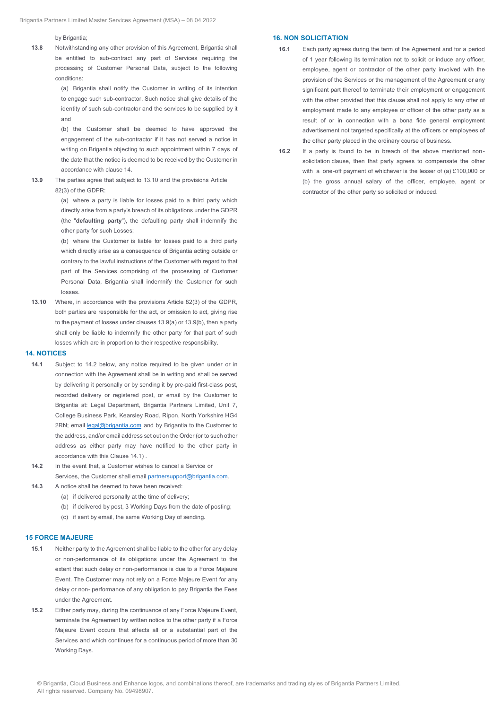by Brigantia:

**13.8** Notwithstanding any other provision of this Agreement, Brigantia shall be entitled to sub-contract any part of Services requiring the processing of Customer Personal Data, subject to the following conditions:

> (a) Brigantia shall notify the Customer in writing of its intention to engage such sub-contractor. Such notice shall give details of the identity of such sub-contractor and the services to be supplied by it and

> (b) the Customer shall be deemed to have approved the engagement of the sub-contractor if it has not served a notice in writing on Brigantia objecting to such appointment within 7 days of the date that the notice is deemed to be received by the Customer in accordance with clause 14.

**13.9** The parties agree that subject to 13.10 and the provisions Article 82(3) of the GDPR:

(a) where a party is liable for losses paid to a third party which directly arise from a party's breach of its obligations under the GDPR (the "**defaulting party**"), the defaulting party shall indemnify the other party for such Losses;

(b) where the Customer is liable for losses paid to a third party which directly arise as a consequence of Brigantia acting outside or contrary to the lawful instructions of the Customer with regard to that part of the Services comprising of the processing of Customer Personal Data, Brigantia shall indemnify the Customer for such losses.

**13.10** Where, in accordance with the provisions Article 82(3) of the GDPR, both parties are responsible for the act, or omission to act, giving rise to the payment of losses under clauses 13.9(a) or 13.9(b), then a party shall only be liable to indemnify the other party for that part of such losses which are in proportion to their respective responsibility.

#### **14. NOTICES**

- **14.1** Subject to 14.2 below, any notice required to be given under or in connection with the Agreement shall be in writing and shall be served by delivering it personally or by sending it by pre-paid first-class post, recorded delivery or registered post, or email by the Customer to Brigantia at: Legal Department, Brigantia Partners Limited, Unit 7, College Business Park, Kearsley Road, Ripon, North Yorkshire HG4 2RN; email legal@brigantia.com and by Brigantia to the Customer to the address, and/or email address set out on the Order (or to such other address as either party may have notified to the other party in accordance with this Clause 14.1) .
- **14.2** In the event that, a Customer wishes to cancel a Service or Services, the Customer shall email partnersupport@brigantia.com.
- **14.3** A notice shall be deemed to have been received:
	- (a) if delivered personally at the time of delivery;
	- (b) if delivered by post, 3 Working Days from the date of posting;
	- (c) if sent by email, the same Working Day of sending.

#### **15 FORCE MAJEURE**

- **15.1** Neither party to the Agreement shall be liable to the other for any delay or non-performance of its obligations under the Agreement to the extent that such delay or non-performance is due to a Force Majeure Event. The Customer may not rely on a Force Majeure Event for any delay or non- performance of any obligation to pay Brigantia the Fees under the Agreement.
- **15.2** Either party may, during the continuance of any Force Majeure Event, terminate the Agreement by written notice to the other party if a Force Majeure Event occurs that affects all or a substantial part of the Services and which continues for a continuous period of more than 30 Working Days.

#### **16. NON SOLICITATION**

- **16.1** Each party agrees during the term of the Agreement and for a period of 1 year following its termination not to solicit or induce any officer, employee, agent or contractor of the other party involved with the provision of the Services or the management of the Agreement or any significant part thereof to terminate their employment or engagement with the other provided that this clause shall not apply to any offer of employment made to any employee or officer of the other party as a result of or in connection with a bona fide general employment advertisement not targeted specifically at the officers or employees of the other party placed in the ordinary course of business.
- **16.2** If a party is found to be in breach of the above mentioned non solicitation clause, then that party agrees to compensate the other with a one-off payment of whichever is the lesser of (a) £100,000 or (b) the gross annual salary of the officer, employee, agent or contractor of the other party so solicited or induced.